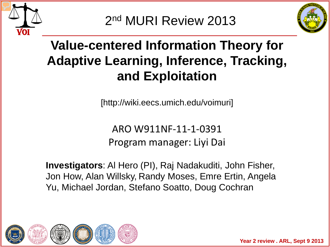

2nd MURI Review 2013



# **Value-centered Information Theory for Adaptive Learning, Inference, Tracking, and Exploitation**

[http://wiki.eecs.umich.edu/voimuri]

ARO W911NF-11-1-0391 Program manager: Liyi Dai

**Investigators**: Al Hero (PI), Raj Nadakuditi, John Fisher, Jon How, Alan Willsky, Randy Moses, Emre Ertin, Angela Yu, Michael Jordan, Stefano Soatto, Doug Cochran

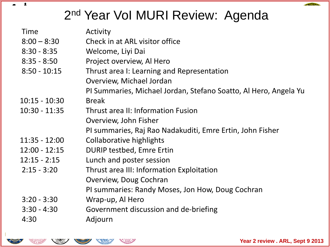# 2<sup>nd</sup> Year Vol MURI Review: Agenda

| Activity<br>Check in at ARL visitor office<br>Welcome, Liyi Dai<br>Project overview, Al Hero<br>Thrust area I: Learning and Representation |
|--------------------------------------------------------------------------------------------------------------------------------------------|
| Overview, Michael Jordan<br>PI Summaries, Michael Jordan, Stefano Soatto, Al Hero, Angela Yu                                               |
| <b>Break</b>                                                                                                                               |
| <b>Thrust area II: Information Fusion</b>                                                                                                  |
| Overview, John Fisher                                                                                                                      |
| PI summaries, Raj Rao Nadakuditi, Emre Ertin, John Fisher                                                                                  |
| Collaborative highlights                                                                                                                   |
| <b>DURIP testbed, Emre Ertin</b>                                                                                                           |
| Lunch and poster session                                                                                                                   |
| Thrust area III: Information Exploitation                                                                                                  |
| Overview, Doug Cochran                                                                                                                     |
| PI summaries: Randy Moses, Jon How, Doug Cochran                                                                                           |
| Wrap-up, Al Hero                                                                                                                           |
| Government discussion and de-briefing                                                                                                      |
| Adjourn                                                                                                                                    |
|                                                                                                                                            |



 $\pmb{z}$ 

**CONTRACTOR**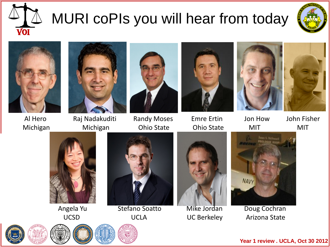







Al Hero Raj Nadakuditi Randy Moses Emre Ertin Jon How John Fisher Michigan Michigan Ohio State Ohio State MIT MIT













Angela Yu Stefano Soatto Mike Jordan Doug Cochran





UCSD UCLA UC Berkeley Arizona State

**Year 1 review . UCLA, Oct 30 2012**





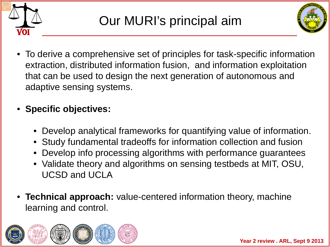



• To derive a comprehensive set of principles for task-specific information extraction, distributed information fusion, and information exploitation that can be used to design the next generation of autonomous and adaptive sensing systems.

### • **Specific objectives:**

- Develop analytical frameworks for quantifying value of information.
- Study fundamental tradeoffs for information collection and fusion
- Develop info processing algorithms with performance guarantees
- Validate theory and algorithms on sensing testbeds at MIT, OSU, UCSD and UCLA
- **Technical approach:** value-centered information theory, machine learning and control.

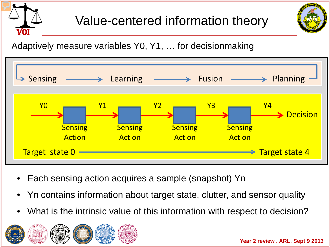



Adaptively measure variables Y0, Y1, … for decisionmaking



- Each sensing action acquires a sample (snapshot) Yn
- Yn contains information about target state, clutter, and sensor quality
- What is the intrinsic value of this information with respect to decision?

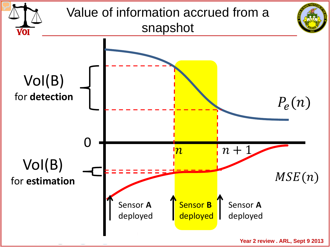

Year 2 review . ARL, Sept 9 2013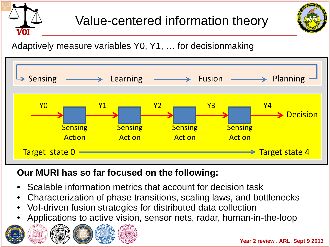



Adaptively measure variables Y0, Y1, … for decisionmaking



#### **Our MURI has so far focused on the following:**

- Scalable information metrics that account for decision task
- Characterization of phase transitions, scaling laws, and bottlenecks
- VoI-driven fusion strategies for distributed data collection
- Applications to active vision, sensor nets, radar, human-in-the-loop

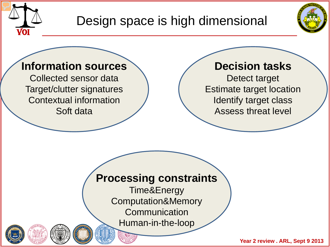

Design space is high dimensional



### **Information sources**

Collected sensor data Target/clutter signatures Contextual information Soft data

### **Decision tasks**

Detect target Estimate target location Identify target class Assess threat level

### **Processing constraints**

Time&Energy Computation&Memory **Communication** Human-in-the-loop

Year 2 review . ARL, Sept 9 2013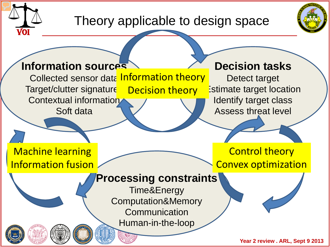

### Theory applicable to design space



### **Information sources**

Collected sensor data Information theory Target/clutter signature Contextual information Soft data Decision theory

#### **Decision tasks**

Detect target Estimate target location Identify target class Assess threat level

Machine learning Information fusion

Control theory Convex optimization

### **Processing constraints**

Time&Energy Computation&Memory **Communication** Human-in-the-loop

Year 2 review . ARL, Sept 9 2013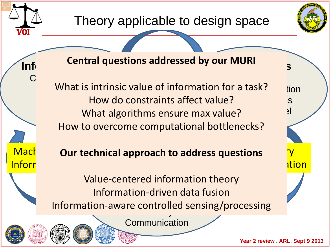

Inforr

Theory applicable to design space



**Inf** central questions addressed by our month  $\beta$ **Central questions addressed by our MURI**

Detect target What is intrinsic value of information for a task? lion Identify the Movido constraints affect value? Assess that algorithms ensure max value? Collected sensor data How to overcome computational bottlenecks?

### **Mach Our technical approach to address questions TV**

Value-centered information theory Information-driven data fusion a controlled  $\frac{1}{\sqrt{2}}$ Information-aware controlled sensing/processing

**Communication** 

ation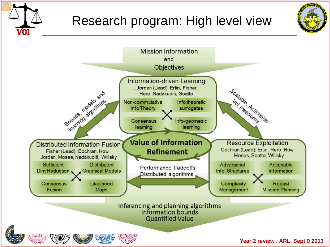

## Research program: High level view





Year 2 review . ARL, Sept 9 2013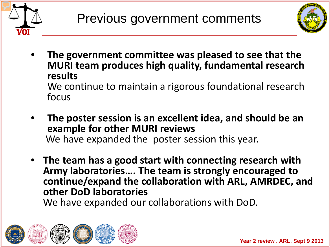



- **The government committee was pleased to see that the MURI team produces high quality, fundamental research results** We continue to maintain a rigorous foundational research focus
- **The poster session is an excellent idea, and should be an**  We have expanded the poster session this year.
- **The team has a good start with connecting research with Army laboratories…. The team is strongly encouraged to continue/expand the collaboration with ARL, AMRDEC, and**  We have expanded our collaborations with DoD.

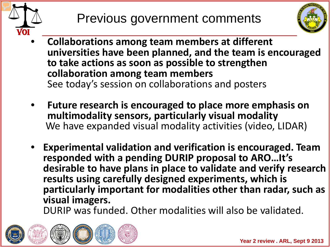



- **Collaborations among team members at different universities have been planned, and the team is encouraged to take actions as soon as possible to strengthen collaboration among team members** See today's session on collaborations and posters
- Future research is encouraged to place more emphasis on multimodality sensors, particularly visual modality We have expanded visual modality activities (video, LIDAR)
- **Experimental validation and verification is encouraged. Team responded with a pending DURIP proposal to ARO…It's desirable to have plans in place to validate and verify research results using carefully designed experiments, which is particularly important for modalities other than radar, such as**

**visual imagers.** DURIP was funded. Other modalities will also be validated.

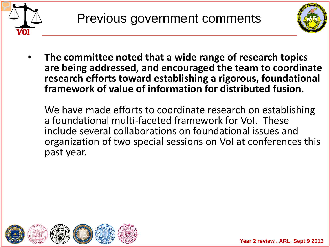



• **The committee noted that a wide range of research topics are being addressed, and encouraged the team to coordinate research efforts toward establishing a rigorous, foundational framework of value of information for distributed fusion.**

We have made efforts to coordinate research on establishing a foundational multi-faceted framework for VoI. These include several collaborations on foundational issues and organization of two special sessions on VoI at conferences this past year.

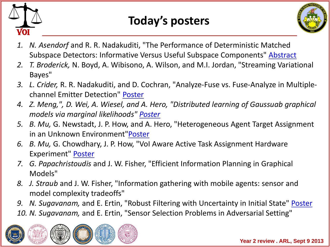

### **Today's posters**



- *1. N. Asendorf* and R. R. Nadakuditi, "The Performance of Deterministic Matched Subspace Detectors: Informative Versus Useful Subspace Components" [Abstract](https://wiki.eecs.umich.edu/global/data/voimurip/images/2/29/Asendorf_abstract_2013.pdf)
- *2. T. Broderick,* N. Boyd, A. Wibisono, A. Wilson, and M.I. Jordan, "Streaming Variational Bayes"
- *3. L. Crider,* R. R. Nadakuditi, and D. Cochran, "Analyze-Fuse vs. Fuse-Analyze in Multiplechannel Emitter Detection" [Poster](https://wiki.eecs.umich.edu/global/data/voimurip/images/7/71/MURI2013Poster.pdf)
- *4. Z. Meng,", D. Wei, A. Wiesel, and A. Hero, "Distributed learning of Gaussuab graphical models via marginal likelihoods" [Poster](https://wiki.eecs.umich.edu/global/data/voimurip/images/d/dc/Meng_poster_aistats_final.pdf)*
- *5. B. Mu,* G. Newstadt, J. P. How, and A. Hero, "Heterogeneous Agent Target Assignment in an Unknown Environment"[Poster](https://wiki.eecs.umich.edu/global/data/voimurip/images/c/cf/MURI2013MuPoster2.pdf)
- *6. B. Mu,* G. Chowdhary, J. P. How, "VoI Aware Active Task Assignment Hardware Experiment" [Poster](https://wiki.eecs.umich.edu/global/data/voimurip/images/f/fa/MURI2013MuPoster.pdf)
- *7. G. Papachristoudis* and J. W. Fisher, "Efficient Information Planning in Graphical Models"
- *8. J. Straub* and J. W. Fisher, "Information gathering with mobile agents: sensor and model complexity tradeoffs"
- *9. N. Sugavanam,* and E. Ertin, "Robust Filtering with Uncertainty in Initial State" [Poster](https://wiki.eecs.umich.edu/global/data/voimurip/images/9/99/MURI2013ErtinFilteringPoster.pdf)
- *10. N. Sugavanam,* and E. Ertin, "Sensor Selection Problems in Adversarial Setting"